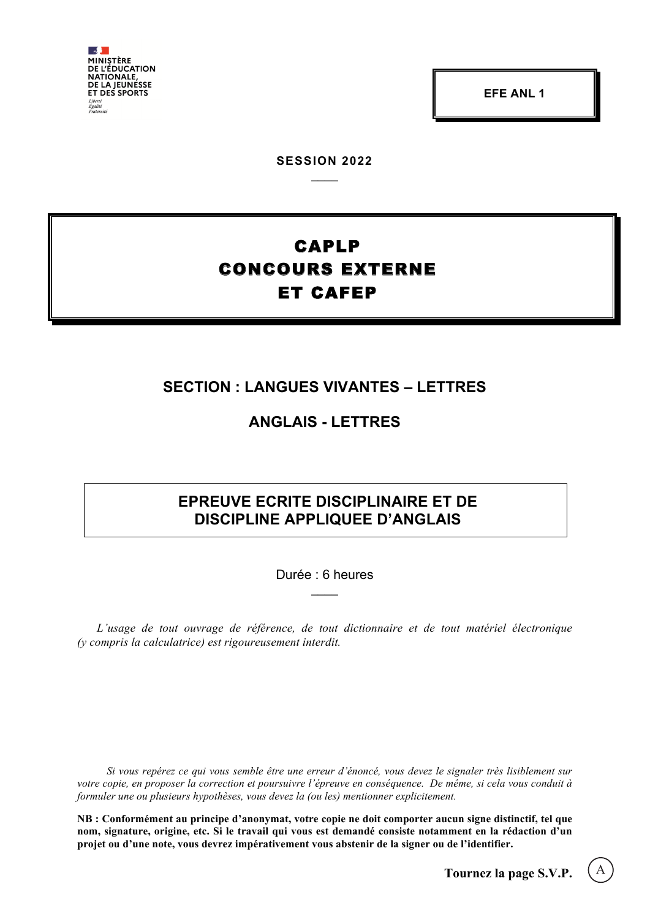

**EFE ANL 1**

**SESSION 2022**  $\overline{\phantom{a}}$ 

# CAPLP CONCOURS EXTERNE ET CAFEP

# **SECTION : LANGUES VIVANTES – LETTRES**

# **ANGLAIS - LETTRES**

## **EPREUVE ECRITE DISCIPLINAIRE ET DE DISCIPLINE APPLIQUEE D'ANGLAIS**

Durée : 6 heures  $\overline{\phantom{a}}$ 

*L'usage de tout ouvrage de référence, de tout dictionnaire et de tout matériel électronique (y compris la calculatrice) est rigoureusement interdit.*

*Si vous repérez ce qui vous semble être une erreur d'énoncé, vous devez le signaler très lisiblement sur votre copie, en proposer la correction et poursuivre l'épreuve en conséquence. De même, si cela vous conduit à formuler une ou plusieurs hypothèses, vous devez la (ou les) mentionner explicitement.*

**NB : Conformément au principe d'anonymat, votre copie ne doit comporter aucun signe distinctif, tel que nom, signature, origine, etc. Si le travail qui vous est demandé consiste notamment en la rédaction d'un projet ou d'une note, vous devrez impérativement vous abstenir de la signer ou de l'identifier.**

A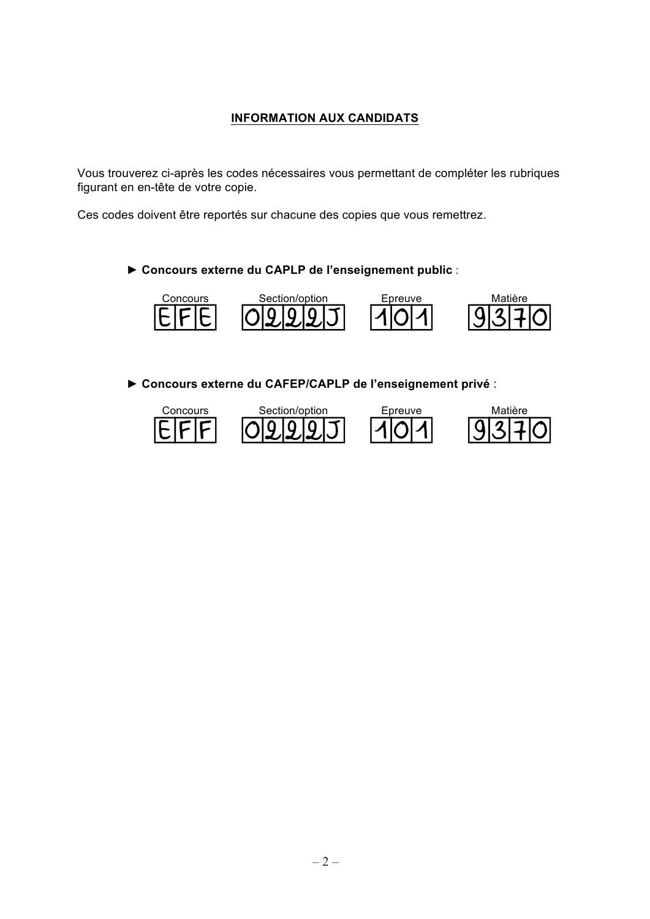### **INFORMATION AUX CANDIDATS**

Vous trouverez ci-après les codes nécessaires vous permettant de compléter les rubriques figurant en en-tête de votre copie.

Ces codes doivent être reportés sur chacune des copies que vous remettrez.

**► Concours externe du CAPLP de l'enseignement public** :



**► Concours externe du CAFEP/CAPLP de l'enseignement privé** :

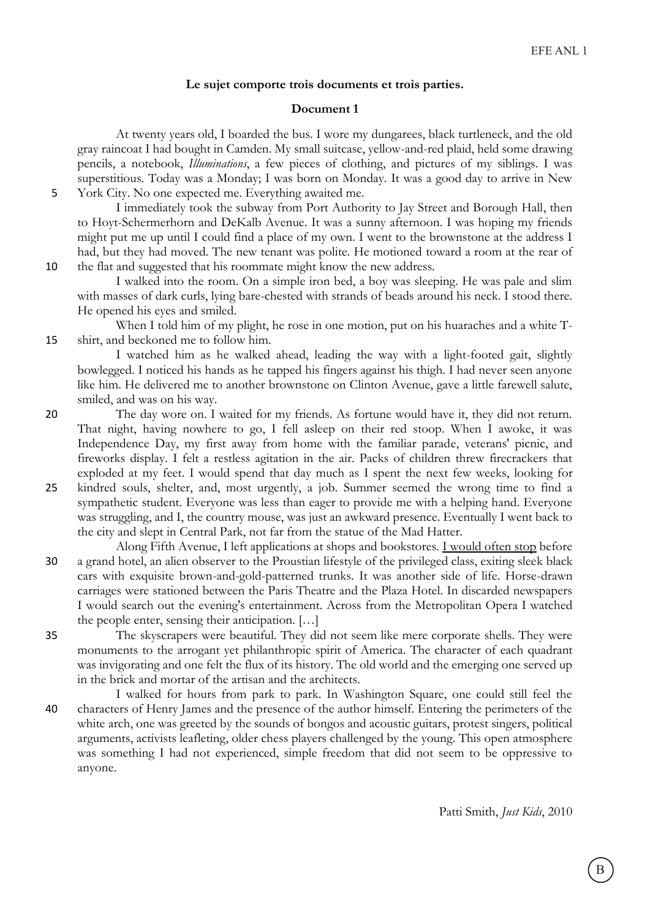#### **Le sujet comporte trois documents et trois parties.**

#### **Document 1**

At twenty years old, I boarded the bus. I wore my dungarees, black turtleneck, and the old gray raincoat I had bought in Camden. My small suitcase, yellow-and-red plaid, held some drawing pencils, a notebook, *Illuminations*, a few pieces of clothing, and pictures of my siblings. I was superstitious. Today was a Monday; I was born on Monday. It was a good day to arrive in New 5 York City. No one expected me. Everything awaited me.

I immediately took the subway from Port Authority to Jay Street and Borough Hall, then to Hoyt-Schermerhorn and DeKalb Avenue. It was a sunny afternoon. I was hoping my friends might put me up until I could find a place of my own. I went to the brownstone at the address I had, but they had moved. The new tenant was polite. He motioned toward a room at the rear of 10 the flat and suggested that his roommate might know the new address.

- I walked into the room. On a simple iron bed, a boy was sleeping. He was pale and slim with masses of dark curls, lying bare-chested with strands of beads around his neck. I stood there. He opened his eyes and smiled.
- When I told him of my plight, he rose in one motion, put on his huaraches and a white T-15 shirt, and beckoned me to follow him.

I watched him as he walked ahead, leading the way with a light-footed gait, slightly bowlegged. I noticed his hands as he tapped his fingers against his thigh. I had never seen anyone like him. He delivered me to another brownstone on Clinton Avenue, gave a little farewell salute, smiled, and was on his way.

- 20 The day wore on. I waited for my friends. As fortune would have it, they did not return. That night, having nowhere to go, I fell asleep on their red stoop. When I awoke, it was Independence Day, my first away from home with the familiar parade, veterans' picnic, and fireworks display. I felt a restless agitation in the air. Packs of children threw firecrackers that exploded at my feet. I would spend that day much as I spent the next few weeks, looking for
- 25 kindred souls, shelter, and, most urgently, a job. Summer seemed the wrong time to find a sympathetic student. Everyone was less than eager to provide me with a helping hand. Everyone was struggling, and I, the country mouse, was just an awkward presence. Eventually I went back to the city and slept in Central Park, not far from the statue of the Mad Hatter.
- Along Fifth Avenue, I left applications at shops and bookstores. I would often stop before 30 a grand hotel, an alien observer to the Proustian lifestyle of the privileged class, exiting sleek black cars with exquisite brown-and-gold-patterned trunks. It was another side of life. Horse-drawn carriages were stationed between the Paris Theatre and the Plaza Hotel. In discarded newspapers I would search out the evening's entertainment. Across from the Metropolitan Opera I watched the people enter, sensing their anticipation. […]
- 35 The skyscrapers were beautiful. They did not seem like mere corporate shells. They were monuments to the arrogant yet philanthropic spirit of America. The character of each quadrant was invigorating and one felt the flux of its history. The old world and the emerging one served up in the brick and mortar of the artisan and the architects.
- I walked for hours from park to park. In Washington Square, one could still feel the 40 characters of Henry James and the presence of the author himself. Entering the perimeters of the white arch, one was greeted by the sounds of bongos and acoustic guitars, protest singers, political arguments, activists leafleting, older chess players challenged by the young. This open atmosphere was something I had not experienced, simple freedom that did not seem to be oppressive to anyone.

Patti Smith, *Just Kids*, 2010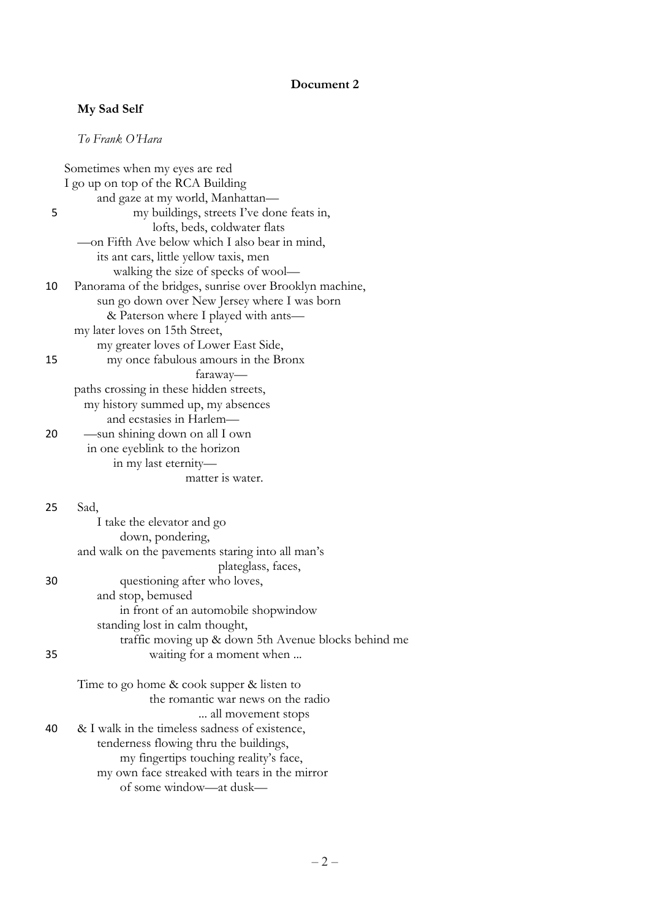### **Document 2**

# **My Sad Self**

## *To Frank O'Hara*

|    | Sometimes when my eyes are red                            |
|----|-----------------------------------------------------------|
|    | I go up on top of the RCA Building                        |
|    | and gaze at my world, Manhattan-                          |
| 5  | my buildings, streets I've done feats in,                 |
|    | lofts, beds, coldwater flats                              |
|    | on Fifth Ave below which I also bear in mind,             |
|    | its ant cars, little yellow taxis, men                    |
|    | walking the size of specks of wool—                       |
| 10 | Panorama of the bridges, sunrise over Brooklyn machine,   |
|    | sun go down over New Jersey where I was born              |
|    | & Paterson where I played with ants—                      |
|    | my later loves on 15th Street,                            |
|    | my greater loves of Lower East Side,                      |
| 15 | my once fabulous amours in the Bronx                      |
|    | faraway—                                                  |
|    | paths crossing in these hidden streets,                   |
|    | my history summed up, my absences                         |
|    | and ecstasies in Harlem-                                  |
| 20 | —sun shining down on all I own                            |
|    | in one eyeblink to the horizon                            |
|    | in my last eternity-                                      |
|    | matter is water.                                          |
| 25 |                                                           |
|    | Sad,                                                      |
|    | I take the elevator and go                                |
|    | down, pondering,                                          |
|    | and walk on the pavements staring into all man's          |
|    | plateglass, faces,                                        |
| 30 | questioning after who loves,<br>and stop, bemused         |
|    | in front of an automobile shopwindow                      |
|    | standing lost in calm thought,                            |
|    | traffic moving up & down 5th Avenue blocks behind me      |
| 35 | waiting for a moment when                                 |
|    |                                                           |
|    | Time to go home $& \text{cook super } & \text{listen to}$ |
|    | the romantic war news on the radio                        |
|    | all movement stops                                        |
| 40 | & I walk in the timeless sadness of existence,            |
|    | tenderness flowing thru the buildings,                    |
|    | my fingertips touching reality's face,                    |
|    | my own face streaked with tears in the mirror             |
|    | of some window-at dusk-                                   |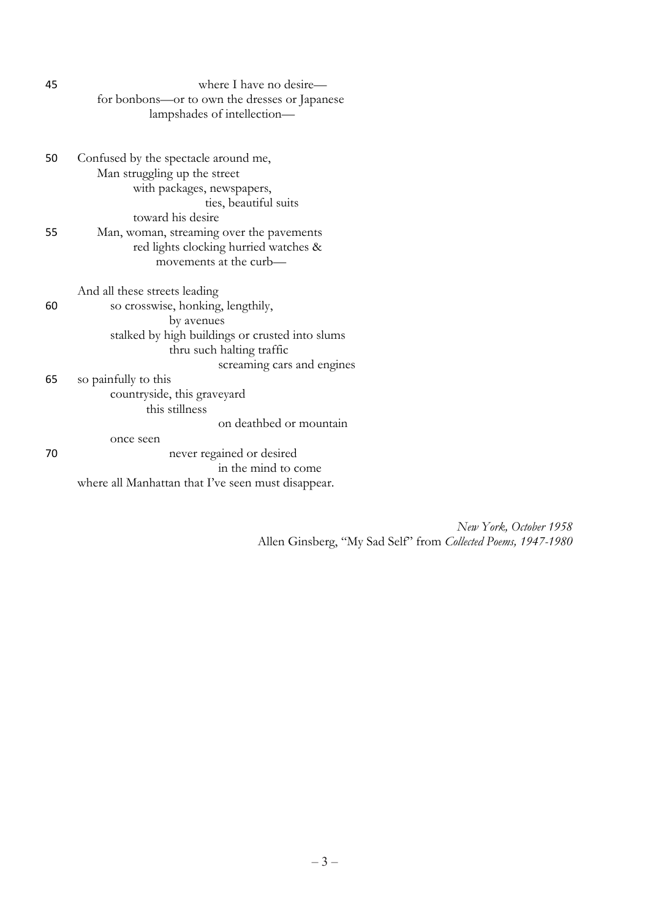| 45 | where I have no desire-                            |
|----|----------------------------------------------------|
|    | for bonbons-or to own the dresses or Japanese      |
|    | lampshades of intellection-                        |
|    |                                                    |
| 50 | Confused by the spectacle around me,               |
|    | Man struggling up the street                       |
|    | with packages, newspapers,                         |
|    | ties, beautiful suits                              |
|    | toward his desire                                  |
| 55 | Man, woman, streaming over the pavements           |
|    | red lights clocking hurried watches &              |
|    | movements at the curb-                             |
|    |                                                    |
|    | And all these streets leading                      |
| 60 | so crosswise, honking, lengthily,                  |
|    | by avenues                                         |
|    | stalked by high buildings or crusted into slums    |
|    | thru such halting traffic                          |
|    | screaming cars and engines                         |
| 65 | so painfully to this                               |
|    | countryside, this graveyard                        |
|    | this stillness                                     |
|    | on deathbed or mountain                            |
|    | once seen                                          |
| 70 | never regained or desired                          |
|    | in the mind to come                                |
|    | where all Manhattan that I've seen must disappear. |
|    |                                                    |
|    |                                                    |

*New York, October 1958* Allen Ginsberg, "My Sad Self" from *Collected Poems, 1947-1980*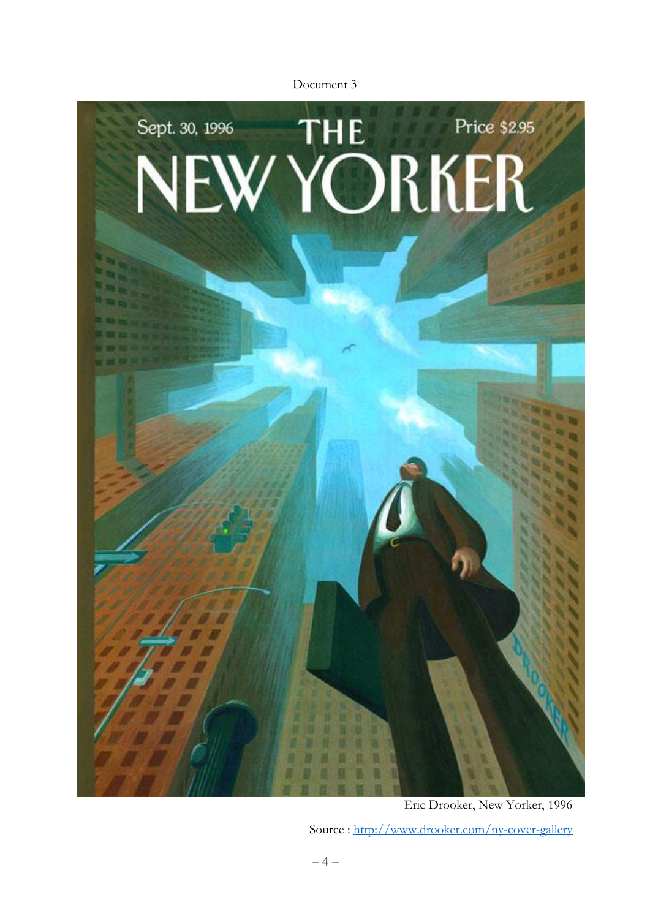



Eric Drooker, New Yorker, 1996 Source : http://www.drooker.com/ny-cover-gallery